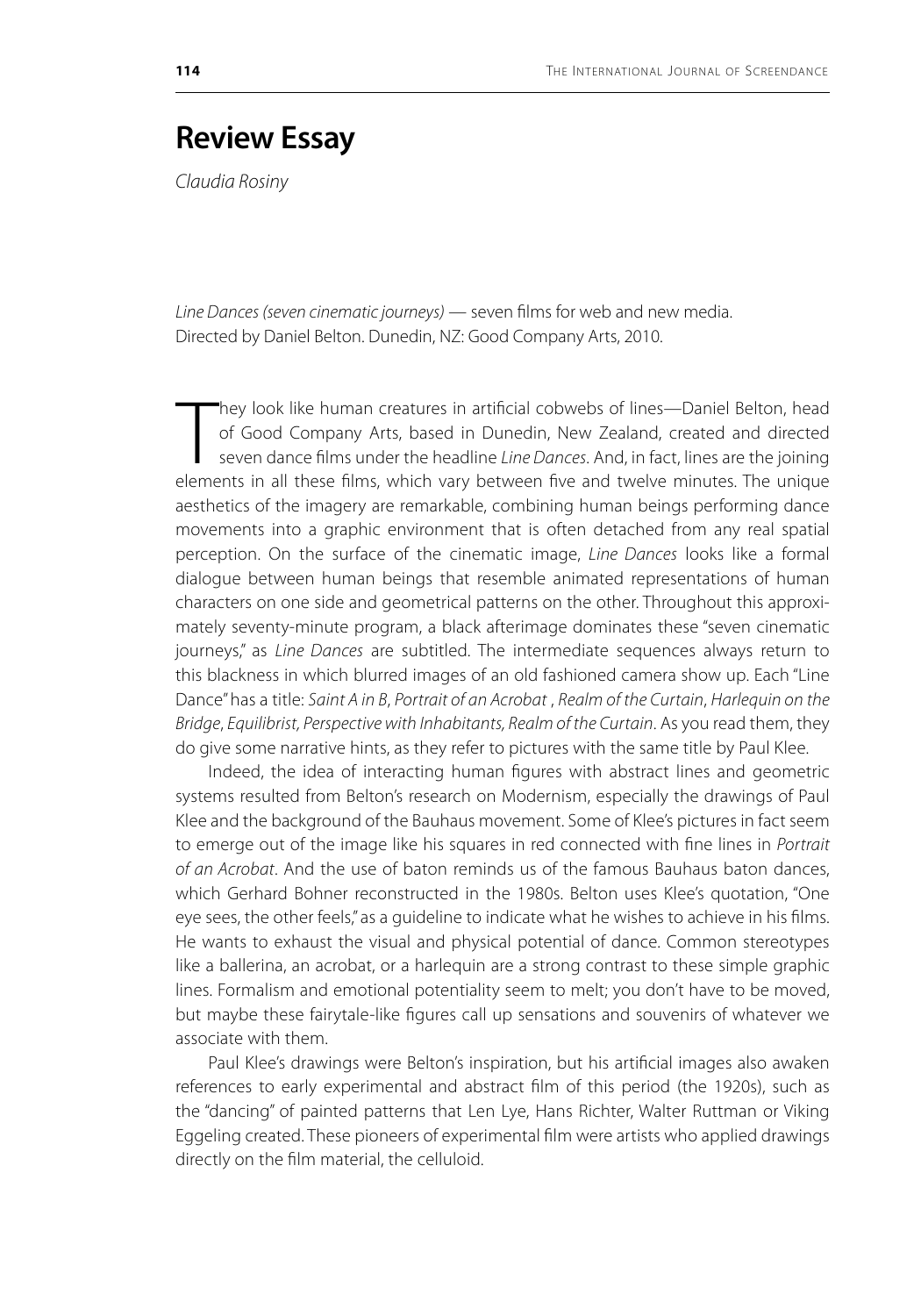## **Review Essay**

*Claudia Rosiny*

*Line Dances (seven cinematic journeys)* — seven films for web and new media. Directed by Daniel Belton. Dunedin, NZ: Good Company Arts, 2010.

They look like human creatures in artificial cobwebs of lines—Daniel Belton, head of Good Company Arts, based in Dunedin, New Zealand, created and directed seven dance films under the headline *Line Dances*. And, in fact, hey look like human creatures in artificial cobwebs of lines—Daniel Belton, head of Good Company Arts, based in Dunedin, New Zealand, created and directed seven dance films under the headline *Line Dances*. And, in fact, lines are the joining aesthetics of the imagery are remarkable, combining human beings performing dance movements into a graphic environment that is often detached from any real spatial perception. On the surface of the cinematic image, *Line Dances* looks like a formal dialogue between human beings that resemble animated representations of human characters on one side and geometrical patterns on the other. Throughout this approximately seventy-minute program, a black afterimage dominates these "seven cinematic journeys," as *Line Dances* are subtitled. The intermediate sequences always return to this blackness in which blurred images of an old fashioned camera show up. Each "Line Dance" has a title: *Saint A in B*, *Portrait of an Acrobat* , *Realm of the Curtain*, *Harlequin on the Bridge*, *Equilibrist, Perspective with Inhabitants, Realm of the Curtain*. As you read them, they do give some narrative hints, as they refer to pictures with the same title by Paul Klee.

Indeed, the idea of interacting human figures with abstract lines and geometric systems resulted from Belton's research on Modernism, especially the drawings of Paul Klee and the background of the Bauhaus movement. Some of Klee's pictures in fact seem to emerge out of the image like his squares in red connected with fine lines in *Portrait of an Acrobat*. And the use of baton reminds us of the famous Bauhaus baton dances, which Gerhard Bohner reconstructed in the 1980s. Belton uses Klee's quotation, "One eye sees, the other feels," as a guideline to indicate what he wishes to achieve in his films. He wants to exhaust the visual and physical potential of dance. Common stereotypes like a ballerina, an acrobat, or a harlequin are a strong contrast to these simple graphic lines. Formalism and emotional potentiality seem to melt; you don't have to be moved, but maybe these fairytale-like figures call up sensations and souvenirs of whatever we associate with them.

Paul Klee's drawings were Belton's inspiration, but his artificial images also awaken references to early experimental and abstract film of this period (the 1920s), such as the "dancing" of painted patterns that Len Lye, Hans Richter, Walter Ruttman or Viking Eggeling created. These pioneers of experimental film were artists who applied drawings directly on the film material, the celluloid.